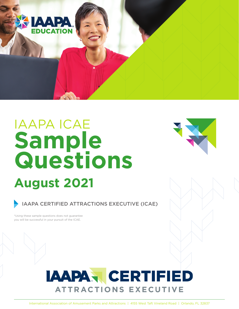

# **August 2021** IAAPA ICAE **Sample Questions**



IAAPA CERTIFIED ATTRACTIONS EXECUTIVE (ICAE)

\*Using these sample questions does not guarantee you will be successful in your pursuit of the ICAE.

## **IAAPA CERTIFIED ATTRACTIONS EXECUTIVE**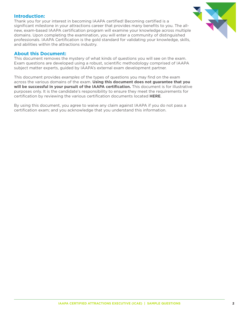#### **Introduction:**

Thank you for your interest in becoming IAAPA certified! Becoming certified is a significant milestone in your attractions career that provides many benefits to you. The allnew, exam-based IAAPA certification program will examine your knowledge across multiple domains. Upon completing the examination, you will enter a community of distinguished professionals. IAAPA Certification is the gold standard for validating your knowledge, skills, and abilities within the attractions industry.

#### **About this Document:**

This document removes the mystery of what kinds of questions you will see on the exam. Exam questions are developed using a robust, scientific methodology comprised of IAAPA subject matter experts, guided by IAAPA's external exam development partner.

This document provides *examples* of the types of questions you may find on the exam across the various domains of the exam. **Using this document does not guarantee that you will be successful in your pursuit of the IAAPA certification.** This document is for illustrative purposes only. It is the candidate's responsibility to ensure they meet the requirements for certification by reviewing the various certification documents located **[HERE](https://www.iaapa.org/education/iaapa-certification)**.

By using this document, you agree to waive any claim against IAAPA if you do not pass a certification exam; and you acknowledge that you understand this information.

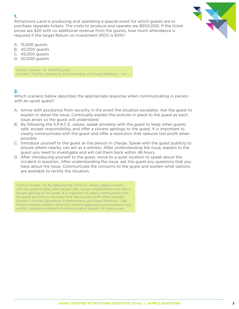Attractions Land is producing and operating a special event for which guests are to purchase separate tickets. The costs to produce and operate are \$500,000. If the ticket prices are \$20 with no additional revenue from the guests, how much attendance is required if the target Return on Investment (ROI) is 60%?

- A. 15,000 guests
- B. 40,000 guests
- C. 45,000 guests
- D. 50,000 guests

Correct Answer - B. 40,000 guests Domain 1: Facility Operations, Entertainment, and Guest Relations - n/a

#### **2.**

Which scenario below describes the appropriate response when communicating in person with an upset guest?

- A. Arrive with assistance from security in the event the situation escalates. Ask the guest to explain in detail the issue. Continually explain the policies in place to the guest as each issue arises so the guest will understand.
- B. By following the S.P.A.C.E. values, speak privately with the guest to keep other guests safe, accept responsibility, and offer a sincere apology to the guest. It is important to clearly communicate with the guest and offer a resolution that reduces lost profit when possible.
- C. Introduce yourself to the guest as the person in charge. Speak with the guest publicly to ensure others nearby can act as a witness. After understanding the issue, explain to the guest you need to investigate and will call them back within 48 hours.
- D. After introducing yourself to the guest, move to a quiet location to speak about the incident in question. After understanding the issue, ask the guest any questions that you have about the issue. Communicate the concerns to the guest and explain what options are available to rectify the situation.

Correct Answer - B. By following the S.P.A.C.E. values, speak privately with the guest to keep other guests safe, accept responsibility, and offer a sincere apology to the guest. It is important to clearly communicate with the guest and offer a resolution that reduces lost profit when possible. Domain 1: Facility Operations, Entertainment, and Guest Relations - 1.6b. Utilize strategic problem-solving to contain aggressive guest behavior and conflict, including methods of communication specific to these issues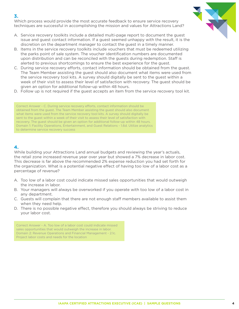Which process would provide the most accurate feedback to ensure service recovery techniques are successful in accomplishing the mission and values for Attractions Land?

- A. Service recovery toolkits include a detailed multi-page report to document the guest issue and guest contact information. If a guest seemed unhappy with the result, it is the discretion on the department manager to contact the guest in a timely manner.
- B. Items in the service recovery toolkits include vouchers that must be redeemed utilizing the parks point of sale system. The voucher identification numbers are documented upon distribution and can be reconciled with the guests during redemption. Staff is alerted to previous shortcomings to ensure the best experience for the guest.
- C. During service recovery efforts, contact information should be obtained from the guest. The Team Member assisting the guest should also document what items were used from the service recovery tool kits. A survey should digitally be sent to the guest within a week of their visit to assess their level of satisfaction with recovery. The guest should be given an option for additional follow-up within 48 hours.
- D. Follow up is not required if the guest accepts an item from the service recovery tool kit.

Correct Answer - C. During service recovery efforts, contact information should be obtained from the guest. The Team Member assisting the guest should also document what items were used from the service recovery tool kits. A survey should digitally be sent to the guest within a week of their visit to assess their level of satisfaction with recovery. The guest should be given an option for additional follow-up within 48 hours. Domain 1: Facility Operations, Entertainment, and Guest Relations - 1.6d. Utilize analytics to determine service recovery success

#### **4.**

While building your Attractions Land annual budgets and reviewing the year's actuals, the retail zone increased revenue year over year but showed a 7% decrease in labor cost. This decrease is far above the recommended 2% expense reduction you had set forth for the organization. What is a potential negative effect of having too low of a labor cost as a percentage of revenue?

- A. Too low of a labor cost could indicate missed sales opportunities that would outweigh the increase in labor.
- B. Your managers will always be overworked if you operate with too low of a labor cost in any department.
- C. Guests will complain that there are not enough staff members available to assist them when they need help.
- D. There is no possible negative effect, therefore you should always be striving to reduce your labor cost.

Correct Answer - A. Too low of a labor cost could indicate missed sales opportunities that would outweigh the increase in labor. Domain 2: Revenue Operations and Financial Management - 2.1c. Project labor costs and needs for the location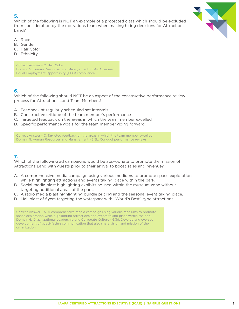Which of the following is NOT an example of a protected class which should be excluded from consideration by the operations team when making hiring decisions for Attractions Land?



- A. Race
- B. Gender
- C. Hair Color
- D. Ethnicity

Correct Answer - C. Hair Color Domain 5: Human Resources and Management - 5.4a. Oversee Equal Employment Opportunity (EEO) compliance

#### **6.**

Which of the following should NOT be an aspect of the constructive performance review process for Attractions Land Team Members?

- A. Feedback at regularly scheduled set intervals
- B. Constructive critique of the team member's performance
- C. Targeted feedback on the areas in which the team member excelled
- D. Specific performance goals for the team member going forward

Correct Answer - C. Targeted feedback on the areas in which the team member excelled Domain 5: Human Resources and Management - 5.5b. Conduct performance reviews

### **7.**

Which of the following ad campaigns would be appropriate to promote the mission of Attractions Land with guests prior to their arrival to boost sales and revenue?

- A. A comprehensive media campaign using various mediums to promote space exploration while highlighting attractions and events taking place within the park.
- B. Social media blast highlighting exhibits housed within the museum zone without targeting additional areas of the park.
- C. A radio media blast highlighting bundle pricing and the seasonal event taking place.
- D. Mail blast of flyers targeting the waterpark with "World's Best" type attractions.

Correct Answer - A. A comprehensive media campaign using various mediums to promote space exploration while highlighting attractions and events taking place within the park. Domain 6: Organizational Leadership and Corporate Culture - 6.3d. Develop and oversee development of guest-facing communication that also share vision and mission of the organization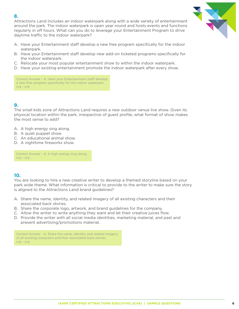Attractions Land includes an indoor waterpark along with a wide variety of entertainment around the park. The indoor waterpark is open year round and hosts events and functions regularly in off hours. What can you do to leverage your Entertainment Program to drive daytime traffic to the indoor waterpark?

- A. Have your Entertainment staff develop a new free program specifically for the indoor waterpark.
- B. Have your Entertainment staff develop new add-on ticketed programs specifically for the indoor waterpark.
- C. Relocate your most popular entertainment show to within the indoor waterpark.
- D. Have your existing entertainment promote the indoor waterpark after every show.

Correct Answer - A. Have your Entertainment staff develop a new free program specifically for the indoor waterpark. n/a - n/a

## **9.**

The small kids zone of Attractions Land requires a new outdoor venue live show. Given its physical location within the park, irrespective of guest profile, what format of show makes the most sense to add?

- A. A high energy sing along.
- B. A quiet puppet show.
- C. An educational animal show.
- D. A nighttime fireworks show.

Correct Answer - A. A high energy sing along. n/a - n/a

#### **10.**

You are looking to hire a new creative writer to develop a themed storyline based on your park wide theme. What information is critical to provide to the writer to make sure the story is aligned to the Attractions Land brand guidelines?

- A. Share the name, identity, and related imagery of all existing characters and their associated back stories.
- B. Share the corporate logo, artwork, and brand guidelines for the company.
- C. Allow the writer to write anything they want and let their creative juices flow.
- D. Provide the writer with all social media identities, marketing material, and past and present advertising/promotions material.

Correct Answer - A. Share the name, identity, and related imagery of all existing characters and their associated back stories. n/a - n/a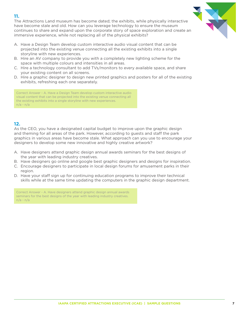The Attractions Land museum has become dated; the exhibits, while physically interactive have become stale and old. How can you leverage technology to ensure the museum continues to share and expand upon the corporate story of space exploration and create an immersive experience, while not replacing all of the physical exhibits?

- A. Have a Design Team develop custom interactive audio visual content that can be projected into the existing venue connecting all the existing exhibits into a single storyline with new experiences.
- B. Hire an AV company to provide you with a completely new lighting scheme for the space with multiple colours and intensities in all areas.
- C. Hire a technology consultant to add TVs/monitors to every available space, and share your existing content on all screens.
- D. Hire a graphic designer to design new printed graphics and posters for all of the existing exhibits, refreshing each one separately.

Correct Answer - A. Have a Design Team develop custom interactive audio visual content that can be projected into the existing venue connecting all the existing exhibits into a single storyline with new experiences. n/a - n/a

#### **12.**

As the CEO, you have a designated capital budget to improve upon the graphic design and theming for all areas of the park. However, according to guests and staff the park graphics in various areas have become stale. What approach can you use to encourage your designers to develop some new innovative and highly creative artwork?

- A. Have designers attend graphic design annual awards seminars for the best designs of the year with leading industry creatives.
- B. Have designers go online and google best graphic designers and designs for inspiration.
- C. Encourage designers to participate in local design forums for amusement parks in their region.
- D. Have your staff sign up for continuing education programs to improve their technical skills while at the same time updating the computers in the graphic design department.

Correct Answer - A. Have designers attend graphic design annual awards seminars for the best designs of the year with leading industry creatives. n/a - n/a